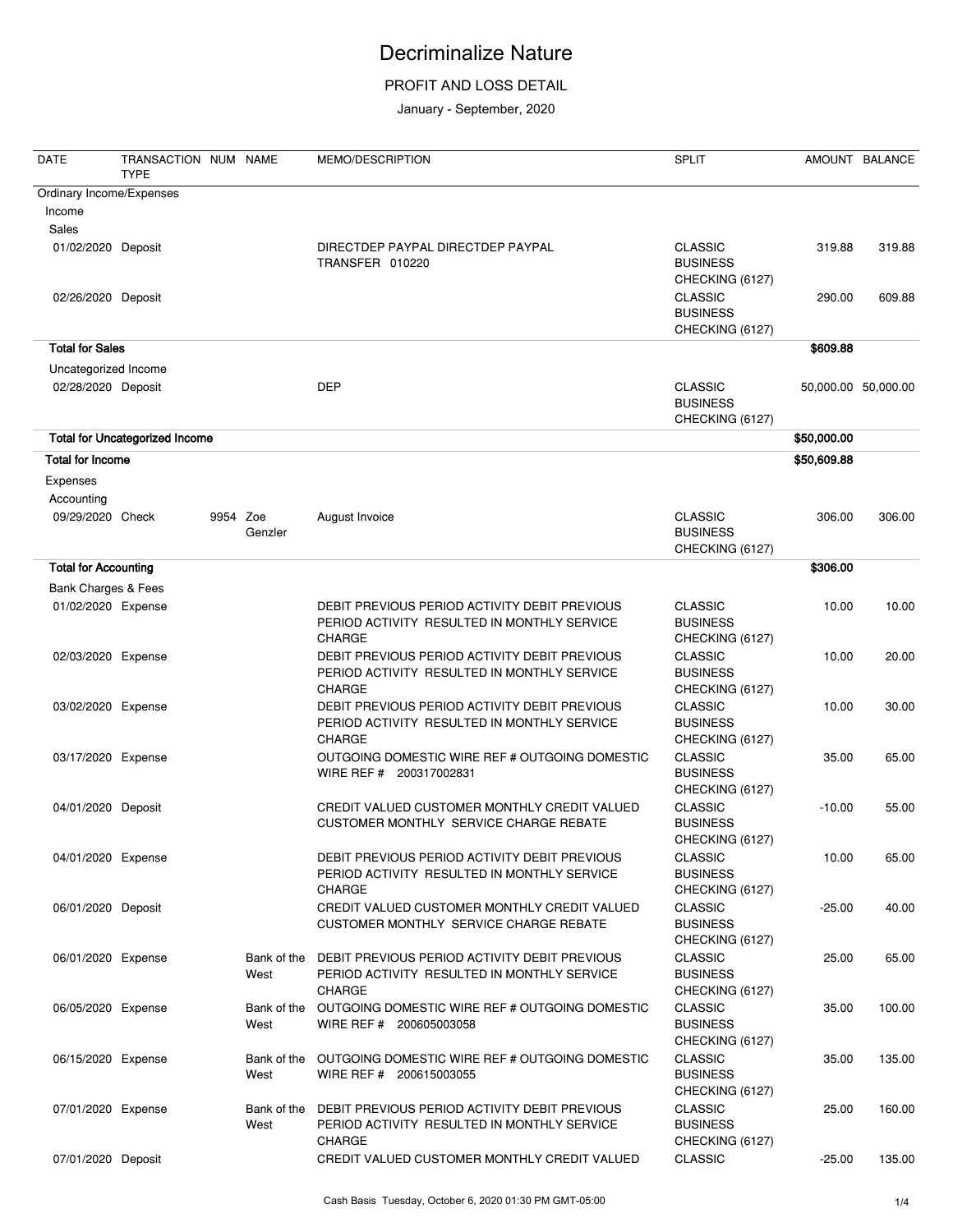### PROFIT AND LOSS DETAIL

| <b>DATE</b>                        | TRANSACTION NUM NAME<br><b>TYPE</b>   |          |                     | MEMO/DESCRIPTION                                                                                              | <b>SPLIT</b>                                         |             | AMOUNT BALANCE      |
|------------------------------------|---------------------------------------|----------|---------------------|---------------------------------------------------------------------------------------------------------------|------------------------------------------------------|-------------|---------------------|
| Ordinary Income/Expenses<br>Income |                                       |          |                     |                                                                                                               |                                                      |             |                     |
| Sales                              |                                       |          |                     |                                                                                                               |                                                      |             |                     |
| 01/02/2020 Deposit                 |                                       |          |                     | DIRECTDEP PAYPAL DIRECTDEP PAYPAL<br>TRANSFER 010220                                                          | <b>CLASSIC</b><br><b>BUSINESS</b><br>CHECKING (6127) | 319.88      | 319.88              |
| 02/26/2020 Deposit                 |                                       |          |                     |                                                                                                               | <b>CLASSIC</b><br><b>BUSINESS</b><br>CHECKING (6127) | 290.00      | 609.88              |
| <b>Total for Sales</b>             |                                       |          |                     |                                                                                                               |                                                      | \$609.88    |                     |
| Uncategorized Income               |                                       |          |                     |                                                                                                               |                                                      |             |                     |
| 02/28/2020 Deposit                 |                                       |          |                     | <b>DEP</b>                                                                                                    | <b>CLASSIC</b><br><b>BUSINESS</b><br>CHECKING (6127) |             | 50,000.00 50,000.00 |
|                                    | <b>Total for Uncategorized Income</b> |          |                     |                                                                                                               |                                                      | \$50,000.00 |                     |
| <b>Total for Income</b>            |                                       |          |                     |                                                                                                               |                                                      | \$50,609.88 |                     |
| Expenses                           |                                       |          |                     |                                                                                                               |                                                      |             |                     |
| Accounting                         |                                       |          |                     |                                                                                                               |                                                      |             |                     |
| 09/29/2020 Check                   |                                       | 9954 Zoe | Genzler             | August Invoice                                                                                                | <b>CLASSIC</b><br><b>BUSINESS</b><br>CHECKING (6127) | 306.00      | 306.00              |
| <b>Total for Accounting</b>        |                                       |          |                     |                                                                                                               |                                                      | \$306.00    |                     |
| Bank Charges & Fees                |                                       |          |                     |                                                                                                               |                                                      |             |                     |
| 01/02/2020 Expense                 |                                       |          |                     | DEBIT PREVIOUS PERIOD ACTIVITY DEBIT PREVIOUS                                                                 | <b>CLASSIC</b>                                       | 10.00       | 10.00               |
|                                    |                                       |          |                     | PERIOD ACTIVITY RESULTED IN MONTHLY SERVICE<br><b>CHARGE</b>                                                  | <b>BUSINESS</b><br>CHECKING (6127)                   |             |                     |
| 02/03/2020 Expense                 |                                       |          |                     | DEBIT PREVIOUS PERIOD ACTIVITY DEBIT PREVIOUS<br>PERIOD ACTIVITY RESULTED IN MONTHLY SERVICE<br><b>CHARGE</b> | <b>CLASSIC</b><br><b>BUSINESS</b><br>CHECKING (6127) | 10.00       | 20.00               |
| 03/02/2020 Expense                 |                                       |          |                     | DEBIT PREVIOUS PERIOD ACTIVITY DEBIT PREVIOUS<br>PERIOD ACTIVITY RESULTED IN MONTHLY SERVICE<br><b>CHARGE</b> | <b>CLASSIC</b><br><b>BUSINESS</b><br>CHECKING (6127) | 10.00       | 30.00               |
| 03/17/2020 Expense                 |                                       |          |                     | OUTGOING DOMESTIC WIRE REF # OUTGOING DOMESTIC<br>WIRE REF # 200317002831                                     | <b>CLASSIC</b><br><b>BUSINESS</b><br>CHECKING (6127) | 35.00       | 65.00               |
| 04/01/2020 Deposit                 |                                       |          |                     | CREDIT VALUED CUSTOMER MONTHLY CREDIT VALUED<br>CUSTOMER MONTHLY SERVICE CHARGE REBATE                        | <b>CLASSIC</b><br><b>BUSINESS</b><br>CHECKING (6127) | $-10.00$    | 55.00               |
| 04/01/2020 Expense                 |                                       |          |                     | DEBIT PREVIOUS PERIOD ACTIVITY DEBIT PREVIOUS<br>PERIOD ACTIVITY RESULTED IN MONTHLY SERVICE<br><b>CHARGE</b> | <b>CLASSIC</b><br><b>BUSINESS</b><br>CHECKING (6127) | 10.00       | 65.00               |
| 06/01/2020 Deposit                 |                                       |          |                     | CREDIT VALUED CUSTOMER MONTHLY CREDIT VALUED<br>CUSTOMER MONTHLY SERVICE CHARGE REBATE                        | <b>CLASSIC</b><br><b>BUSINESS</b><br>CHECKING (6127) | $-25.00$    | 40.00               |
| 06/01/2020 Expense                 |                                       |          | Bank of the<br>West | DEBIT PREVIOUS PERIOD ACTIVITY DEBIT PREVIOUS<br>PERIOD ACTIVITY RESULTED IN MONTHLY SERVICE<br><b>CHARGE</b> | <b>CLASSIC</b><br><b>BUSINESS</b><br>CHECKING (6127) | 25.00       | 65.00               |
| 06/05/2020 Expense                 |                                       |          | Bank of the<br>West | OUTGOING DOMESTIC WIRE REF # OUTGOING DOMESTIC<br>WIRE REF # 200605003058                                     | <b>CLASSIC</b><br><b>BUSINESS</b><br>CHECKING (6127) | 35.00       | 100.00              |
| 06/15/2020 Expense                 |                                       |          | Bank of the<br>West | OUTGOING DOMESTIC WIRE REF # OUTGOING DOMESTIC<br>WIRE REF # 200615003055                                     | <b>CLASSIC</b><br><b>BUSINESS</b><br>CHECKING (6127) | 35.00       | 135.00              |
| 07/01/2020 Expense                 |                                       |          | Bank of the<br>West | DEBIT PREVIOUS PERIOD ACTIVITY DEBIT PREVIOUS<br>PERIOD ACTIVITY RESULTED IN MONTHLY SERVICE<br>CHARGE        | <b>CLASSIC</b><br><b>BUSINESS</b><br>CHECKING (6127) | 25.00       | 160.00              |
| 07/01/2020 Deposit                 |                                       |          |                     | CREDIT VALUED CUSTOMER MONTHLY CREDIT VALUED                                                                  | <b>CLASSIC</b>                                       | $-25.00$    | 135.00              |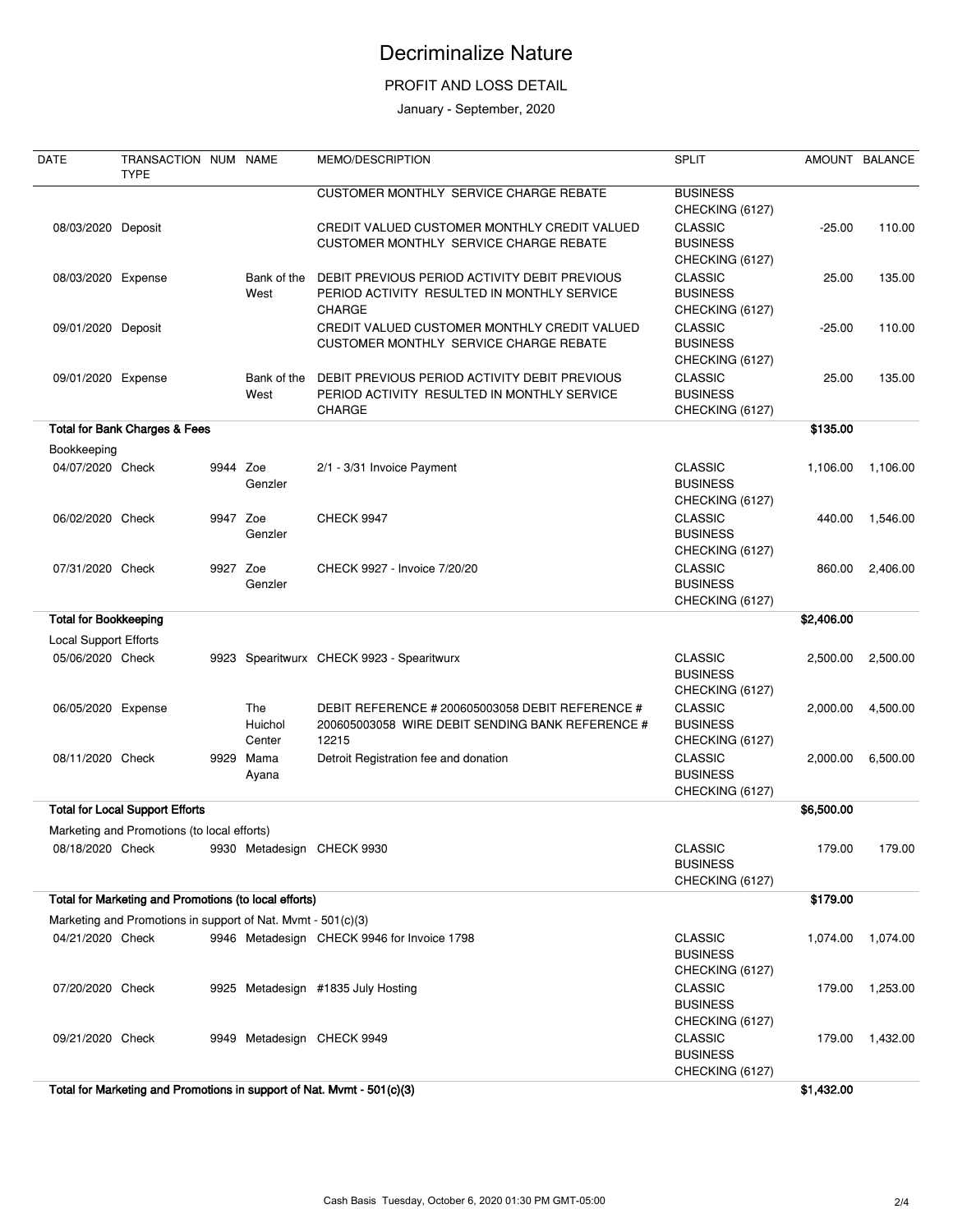### PROFIT AND LOSS DETAIL

| <b>DATE</b>                  | TRANSACTION NUM NAME<br><b>TYPE</b>                          |          |                                 | <b>MEMO/DESCRIPTION</b>                                                                                       | <b>SPLIT</b>                                         |            | AMOUNT BALANCE |
|------------------------------|--------------------------------------------------------------|----------|---------------------------------|---------------------------------------------------------------------------------------------------------------|------------------------------------------------------|------------|----------------|
|                              |                                                              |          |                                 | CUSTOMER MONTHLY SERVICE CHARGE REBATE                                                                        | <b>BUSINESS</b><br>CHECKING (6127)                   |            |                |
| 08/03/2020 Deposit           |                                                              |          |                                 | CREDIT VALUED CUSTOMER MONTHLY CREDIT VALUED<br>CUSTOMER MONTHLY SERVICE CHARGE REBATE                        | <b>CLASSIC</b><br><b>BUSINESS</b><br>CHECKING (6127) | $-25.00$   | 110.00         |
| 08/03/2020 Expense           |                                                              |          | Bank of the<br>West             | DEBIT PREVIOUS PERIOD ACTIVITY DEBIT PREVIOUS<br>PERIOD ACTIVITY RESULTED IN MONTHLY SERVICE<br>CHARGE        | <b>CLASSIC</b><br><b>BUSINESS</b><br>CHECKING (6127) | 25.00      | 135.00         |
| 09/01/2020 Deposit           |                                                              |          |                                 | CREDIT VALUED CUSTOMER MONTHLY CREDIT VALUED<br>CUSTOMER MONTHLY SERVICE CHARGE REBATE                        | <b>CLASSIC</b><br><b>BUSINESS</b><br>CHECKING (6127) | $-25.00$   | 110.00         |
| 09/01/2020 Expense           |                                                              |          | Bank of the<br>West             | DEBIT PREVIOUS PERIOD ACTIVITY DEBIT PREVIOUS<br>PERIOD ACTIVITY RESULTED IN MONTHLY SERVICE<br>CHARGE        | <b>CLASSIC</b><br><b>BUSINESS</b><br>CHECKING (6127) | 25.00      | 135.00         |
|                              | <b>Total for Bank Charges &amp; Fees</b>                     |          |                                 |                                                                                                               |                                                      | \$135.00   |                |
| Bookkeeping                  |                                                              |          |                                 |                                                                                                               |                                                      |            |                |
| 04/07/2020 Check             |                                                              | 9944 Zoe | Genzler                         | 2/1 - 3/31 Invoice Payment                                                                                    | <b>CLASSIC</b><br><b>BUSINESS</b><br>CHECKING (6127) | 1,106.00   | 1,106.00       |
| 06/02/2020 Check             |                                                              | 9947 Zoe | Genzler                         | <b>CHECK 9947</b>                                                                                             | <b>CLASSIC</b><br><b>BUSINESS</b><br>CHECKING (6127) | 440.00     | 1,546.00       |
| 07/31/2020 Check             |                                                              | 9927 Zoe | Genzler                         | CHECK 9927 - Invoice 7/20/20                                                                                  | <b>CLASSIC</b><br><b>BUSINESS</b><br>CHECKING (6127) | 860.00     | 2,406.00       |
| <b>Total for Bookkeeping</b> |                                                              |          |                                 |                                                                                                               |                                                      | \$2,406.00 |                |
| Local Support Efforts        |                                                              |          |                                 |                                                                                                               |                                                      |            |                |
| 05/06/2020 Check             |                                                              |          |                                 | 9923 Spearitwurx CHECK 9923 - Spearitwurx                                                                     | <b>CLASSIC</b><br><b>BUSINESS</b><br>CHECKING (6127) | 2,500.00   | 2,500.00       |
| 06/05/2020 Expense           |                                                              |          | <b>The</b><br>Huichol<br>Center | DEBIT REFERENCE # 200605003058 DEBIT REFERENCE #<br>200605003058 WIRE DEBIT SENDING BANK REFERENCE #<br>12215 | <b>CLASSIC</b><br><b>BUSINESS</b><br>CHECKING (6127) | 2,000.00   | 4,500.00       |
| 08/11/2020 Check             |                                                              | 9929     | Mama<br>Ayana                   | Detroit Registration fee and donation                                                                         | <b>CLASSIC</b><br><b>BUSINESS</b><br>CHECKING (6127) | 2,000.00   | 6,500.00       |
|                              | <b>Total for Local Support Efforts</b>                       |          |                                 |                                                                                                               |                                                      | \$6,500.00 |                |
|                              | Marketing and Promotions (to local efforts)                  |          |                                 |                                                                                                               |                                                      |            |                |
| 08/18/2020 Check             |                                                              |          |                                 | 9930 Metadesign CHECK 9930                                                                                    | <b>CLASSIC</b><br><b>BUSINESS</b><br>CHECKING (6127) | 179.00     | 179.00         |
|                              | Total for Marketing and Promotions (to local efforts)        |          |                                 |                                                                                                               |                                                      | \$179.00   |                |
|                              | Marketing and Promotions in support of Nat. Mvmt - 501(c)(3) |          |                                 |                                                                                                               |                                                      |            |                |
| 04/21/2020 Check             |                                                              |          |                                 | 9946 Metadesign CHECK 9946 for Invoice 1798                                                                   | <b>CLASSIC</b><br><b>BUSINESS</b><br>CHECKING (6127) | 1,074.00   | 1,074.00       |
| 07/20/2020 Check             |                                                              |          |                                 | 9925 Metadesign #1835 July Hosting                                                                            | <b>CLASSIC</b><br><b>BUSINESS</b><br>CHECKING (6127) | 179.00     | 1,253.00       |
| 09/21/2020 Check             |                                                              |          |                                 | 9949 Metadesign CHECK 9949                                                                                    | <b>CLASSIC</b><br><b>BUSINESS</b><br>CHECKING (6127) | 179.00     | 1,432.00       |
|                              |                                                              |          |                                 | Total for Marketing and Promotions in support of Nat. Mvmt - 501(c)(3)                                        |                                                      | \$1,432.00 |                |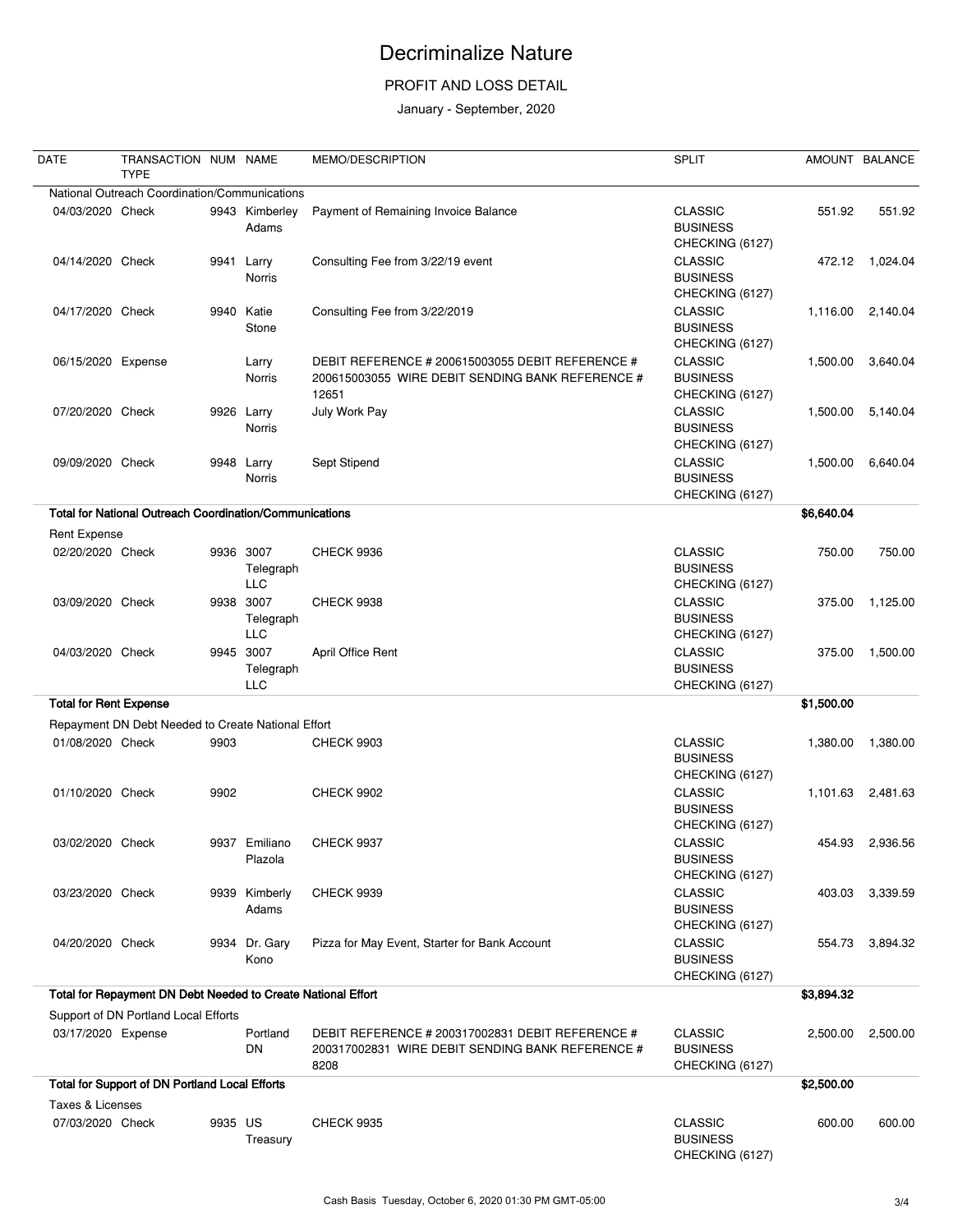### PROFIT AND LOSS DETAIL

| <b>DATE</b>                   | TRANSACTION NUM NAME<br><b>TYPE</b>                            |         |                                      | MEMO/DESCRIPTION                                                                                              | <b>SPLIT</b>                                         |            | AMOUNT BALANCE    |
|-------------------------------|----------------------------------------------------------------|---------|--------------------------------------|---------------------------------------------------------------------------------------------------------------|------------------------------------------------------|------------|-------------------|
|                               | National Outreach Coordination/Communications                  |         |                                      |                                                                                                               |                                                      |            |                   |
| 04/03/2020 Check              |                                                                |         | 9943 Kimberley<br>Adams              | Payment of Remaining Invoice Balance                                                                          | <b>CLASSIC</b><br><b>BUSINESS</b><br>CHECKING (6127) | 551.92     | 551.92            |
| 04/14/2020 Check              |                                                                | 9941    | Larry<br><b>Norris</b>               | Consulting Fee from 3/22/19 event                                                                             | <b>CLASSIC</b><br><b>BUSINESS</b><br>CHECKING (6127) | 472.12     | 1,024.04          |
| 04/17/2020 Check              |                                                                |         | 9940 Katie<br>Stone                  | Consulting Fee from 3/22/2019                                                                                 | <b>CLASSIC</b><br><b>BUSINESS</b><br>CHECKING (6127) | 1,116.00   | 2,140.04          |
| 06/15/2020 Expense            |                                                                |         | Larry<br>Norris                      | DEBIT REFERENCE # 200615003055 DEBIT REFERENCE #<br>200615003055 WIRE DEBIT SENDING BANK REFERENCE #<br>12651 | <b>CLASSIC</b><br><b>BUSINESS</b><br>CHECKING (6127) | 1,500.00   | 3,640.04          |
| 07/20/2020 Check              |                                                                |         | 9926 Larry<br>Norris                 | July Work Pay                                                                                                 | <b>CLASSIC</b><br><b>BUSINESS</b><br>CHECKING (6127) | 1,500.00   | 5,140.04          |
| 09/09/2020 Check              |                                                                |         | 9948 Larry<br><b>Norris</b>          | Sept Stipend                                                                                                  | <b>CLASSIC</b><br><b>BUSINESS</b><br>CHECKING (6127) | 1,500.00   | 6,640.04          |
|                               | <b>Total for National Outreach Coordination/Communications</b> |         |                                      |                                                                                                               |                                                      | \$6,640.04 |                   |
| <b>Rent Expense</b>           |                                                                |         |                                      |                                                                                                               |                                                      |            |                   |
| 02/20/2020 Check              |                                                                |         | 9936 3007<br>Telegraph<br>LLC        | <b>CHECK 9936</b>                                                                                             | <b>CLASSIC</b><br><b>BUSINESS</b><br>CHECKING (6127) | 750.00     | 750.00            |
| 03/09/2020 Check              |                                                                |         | 9938 3007<br>Telegraph<br><b>LLC</b> | <b>CHECK 9938</b>                                                                                             | <b>CLASSIC</b><br><b>BUSINESS</b><br>CHECKING (6127) | 375.00     | 1,125.00          |
| 04/03/2020 Check              |                                                                |         | 9945 3007<br>Telegraph<br><b>LLC</b> | April Office Rent                                                                                             | <b>CLASSIC</b><br><b>BUSINESS</b><br>CHECKING (6127) | 375.00     | 1,500.00          |
| <b>Total for Rent Expense</b> |                                                                |         |                                      |                                                                                                               |                                                      | \$1,500.00 |                   |
|                               | Repayment DN Debt Needed to Create National Effort             |         |                                      |                                                                                                               |                                                      |            |                   |
| 01/08/2020 Check              |                                                                | 9903    |                                      | <b>CHECK 9903</b>                                                                                             | <b>CLASSIC</b><br><b>BUSINESS</b><br>CHECKING (6127) | 1,380.00   | 1,380.00          |
| 01/10/2020 Check              |                                                                | 9902    |                                      | <b>CHECK 9902</b>                                                                                             | <b>CLASSIC</b><br><b>BUSINESS</b><br>CHECKING (6127) |            | 1,101.63 2,481.63 |
| 03/02/2020 Check              |                                                                |         | 9937 Emiliano<br>Plazola             | <b>CHECK 9937</b>                                                                                             | <b>CLASSIC</b><br><b>BUSINESS</b><br>CHECKING (6127) | 454.93     | 2,936.56          |
| 03/23/2020 Check              |                                                                |         | 9939 Kimberly<br>Adams               | <b>CHECK 9939</b>                                                                                             | <b>CLASSIC</b><br><b>BUSINESS</b><br>CHECKING (6127) | 403.03     | 3,339.59          |
| 04/20/2020 Check              |                                                                |         | 9934 Dr. Gary<br>Kono                | Pizza for May Event, Starter for Bank Account                                                                 | <b>CLASSIC</b><br><b>BUSINESS</b><br>CHECKING (6127) | 554.73     | 3,894.32          |
|                               | Total for Repayment DN Debt Needed to Create National Effort   |         |                                      |                                                                                                               |                                                      | \$3,894.32 |                   |
|                               | Support of DN Portland Local Efforts                           |         |                                      |                                                                                                               |                                                      |            |                   |
| 03/17/2020 Expense            |                                                                |         | Portland<br><b>DN</b>                | DEBIT REFERENCE # 200317002831 DEBIT REFERENCE #<br>200317002831 WIRE DEBIT SENDING BANK REFERENCE #<br>8208  | <b>CLASSIC</b><br><b>BUSINESS</b><br>CHECKING (6127) | 2,500.00   | 2,500.00          |
|                               | <b>Total for Support of DN Portland Local Efforts</b>          |         |                                      |                                                                                                               |                                                      | \$2,500.00 |                   |
| <b>Taxes &amp; Licenses</b>   |                                                                |         |                                      |                                                                                                               |                                                      |            |                   |
| 07/03/2020 Check              |                                                                | 9935 US | Treasury                             | <b>CHECK 9935</b>                                                                                             | <b>CLASSIC</b><br><b>BUSINESS</b><br>CHECKING (6127) | 600.00     | 600.00            |